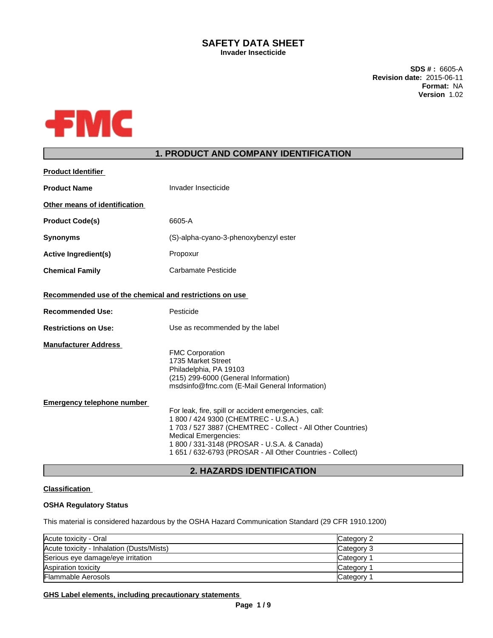## **SAFETY DATA SHEET Invader Insecticide**

**SDS # :** 6605-A **Revision date:** 2015-06-11 **Format:** NA **Version** 1.02



# **1. PRODUCT AND COMPANY IDENTIFICATION**

| <b>Product Identifier</b>                               |                                                                                                                                                                                                                                                                                                        |
|---------------------------------------------------------|--------------------------------------------------------------------------------------------------------------------------------------------------------------------------------------------------------------------------------------------------------------------------------------------------------|
| <b>Product Name</b>                                     | Invader Insecticide                                                                                                                                                                                                                                                                                    |
| Other means of identification                           |                                                                                                                                                                                                                                                                                                        |
| <b>Product Code(s)</b>                                  | 6605-A                                                                                                                                                                                                                                                                                                 |
| <b>Synonyms</b>                                         | (S)-alpha-cyano-3-phenoxybenzyl ester                                                                                                                                                                                                                                                                  |
| <b>Active Ingredient(s)</b>                             | Propoxur                                                                                                                                                                                                                                                                                               |
| <b>Chemical Family</b>                                  | Carbamate Pesticide                                                                                                                                                                                                                                                                                    |
| Recommended use of the chemical and restrictions on use |                                                                                                                                                                                                                                                                                                        |
| <b>Recommended Use:</b>                                 | Pesticide                                                                                                                                                                                                                                                                                              |
| <b>Restrictions on Use:</b>                             | Use as recommended by the label                                                                                                                                                                                                                                                                        |
| <b>Manufacturer Address</b>                             | <b>FMC Corporation</b><br>1735 Market Street<br>Philadelphia, PA 19103<br>(215) 299-6000 (General Information)<br>msdsinfo@fmc.com (E-Mail General Information)                                                                                                                                        |
| <b>Emergency telephone number</b>                       | For leak, fire, spill or accident emergencies, call:<br>1 800 / 424 9300 (CHEMTREC - U.S.A.)<br>1 703 / 527 3887 (CHEMTREC - Collect - All Other Countries)<br><b>Medical Emergencies:</b><br>1 800 / 331-3148 (PROSAR - U.S.A. & Canada)<br>1 651 / 632-6793 (PROSAR - All Other Countries - Collect) |

# **2. HAZARDS IDENTIFICATION**

# **Classification**

## **OSHA Regulatory Status**

This material is considered hazardous by the OSHA Hazard Communication Standard (29 CFR 1910.1200)

| Acute toxicity - Oral                     | Category 2            |
|-------------------------------------------|-----------------------|
| Acute toxicity - Inhalation (Dusts/Mists) | Category 3            |
| Serious eye damage/eye irritation         | Category 1            |
| Aspiration toxicity                       | Category <sup>2</sup> |
| <b>Flammable Aerosols</b>                 | Category 1            |

## **GHS Label elements, including precautionary statements**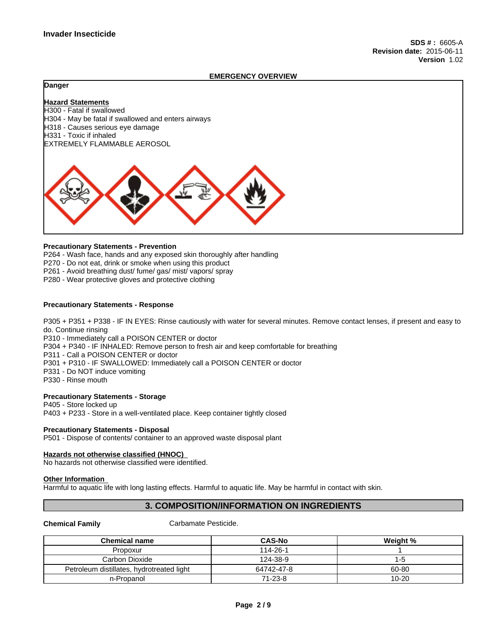#### **EMERGENCY OVERVIEW**

### **Danger**

**Hazard Statements** H300 - Fatal if swallowed H304 - May be fatal if swallowed and enters airways H318 - Causes serious eye damage H331 - Toxic if inhaled EXTREMELY FLAMMABLE AEROSOL



#### **Precautionary Statements - Prevention**

P264 - Wash face, hands and any exposed skin thoroughly after handling

P270 - Do not eat, drink or smoke when using this product

P261 - Avoid breathing dust/ fume/ gas/ mist/ vapors/ spray

P280 - Wear protective gloves and protective clothing

## **Precautionary Statements - Response**

P305 + P351 + P338 - IF IN EYES: Rinse cautiously with water for several minutes. Remove contact lenses, if present and easy to do. Continue rinsing

P310 - Immediately call a POISON CENTER or doctor

P304 + P340 - IF INHALED: Remove person to fresh air and keep comfortable for breathing

P311 - Call a POISON CENTER or doctor

P301 + P310 - IF SWALLOWED: Immediately call a POISON CENTER or doctor

P331 - Do NOT induce vomiting

P330 - Rinse mouth

#### **Precautionary Statements - Storage**

P405 - Store locked up P403 + P233 - Store in a well-ventilated place. Keep container tightly closed

#### **Precautionary Statements - Disposal**

P501 - Dispose of contents/ container to an approved waste disposal plant

#### **Hazards not otherwise classified (HNOC)**  No hazards not otherwise classified were identified.

#### **Other Information**

Harmful to aquatic life with long lasting effects. Harmful to aquatic life. May be harmful in contact with skin.

## **3. COMPOSITION/INFORMATION ON INGREDIENTS**

**Chemical Family** Carbamate Pesticide.

| Chemical name                             | <b>CAS-No</b> | Weight %  |
|-------------------------------------------|---------------|-----------|
| Propoxur                                  | 114-26-1      |           |
| Carbon Dioxide                            | 124-38-9      | ם-ו       |
| Petroleum distillates, hydrotreated light | 64742-47-8    | 60-80     |
| n-Propanol                                | $71 - 23 - 8$ | $10 - 20$ |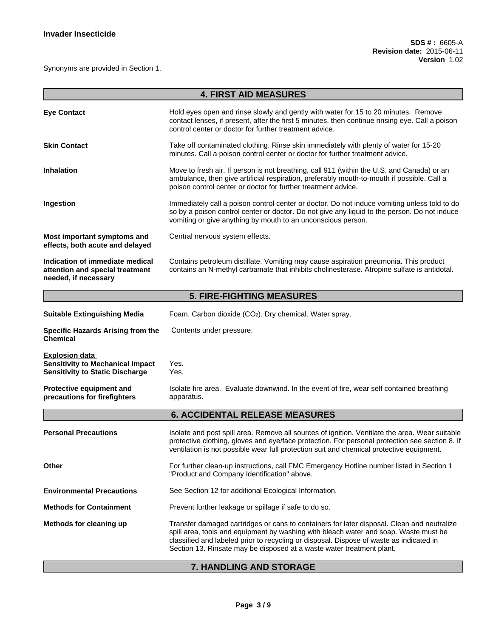Synonyms are provided in Section 1.

|                                                                                                            | <b>4. FIRST AID MEASURES</b>                                                                                                                                                                                                                                                                                                                           |  |  |  |  |  |
|------------------------------------------------------------------------------------------------------------|--------------------------------------------------------------------------------------------------------------------------------------------------------------------------------------------------------------------------------------------------------------------------------------------------------------------------------------------------------|--|--|--|--|--|
| <b>Eye Contact</b>                                                                                         | Hold eyes open and rinse slowly and gently with water for 15 to 20 minutes. Remove<br>contact lenses, if present, after the first 5 minutes, then continue rinsing eye. Call a poison<br>control center or doctor for further treatment advice.                                                                                                        |  |  |  |  |  |
| <b>Skin Contact</b>                                                                                        | Take off contaminated clothing. Rinse skin immediately with plenty of water for 15-20<br>minutes. Call a poison control center or doctor for further treatment advice.                                                                                                                                                                                 |  |  |  |  |  |
| <b>Inhalation</b>                                                                                          | Move to fresh air. If person is not breathing, call 911 (within the U.S. and Canada) or an<br>ambulance, then give artificial respiration, preferably mouth-to-mouth if possible. Call a<br>poison control center or doctor for further treatment advice.                                                                                              |  |  |  |  |  |
| Ingestion                                                                                                  | Immediately call a poison control center or doctor. Do not induce vomiting unless told to do<br>so by a poison control center or doctor. Do not give any liquid to the person. Do not induce<br>vomiting or give anything by mouth to an unconscious person.                                                                                           |  |  |  |  |  |
| Most important symptoms and<br>effects, both acute and delayed                                             | Central nervous system effects.                                                                                                                                                                                                                                                                                                                        |  |  |  |  |  |
| Indication of immediate medical<br>attention and special treatment<br>needed, if necessary                 | Contains petroleum distillate. Vomiting may cause aspiration pneumonia. This product<br>contains an N-methyl carbamate that inhibits cholinesterase. Atropine sulfate is antidotal.                                                                                                                                                                    |  |  |  |  |  |
|                                                                                                            | <b>5. FIRE-FIGHTING MEASURES</b>                                                                                                                                                                                                                                                                                                                       |  |  |  |  |  |
| <b>Suitable Extinguishing Media</b>                                                                        | Foam. Carbon dioxide (CO2). Dry chemical. Water spray.                                                                                                                                                                                                                                                                                                 |  |  |  |  |  |
| Specific Hazards Arising from the<br><b>Chemical</b>                                                       | Contents under pressure.                                                                                                                                                                                                                                                                                                                               |  |  |  |  |  |
| <b>Explosion data</b><br><b>Sensitivity to Mechanical Impact</b><br><b>Sensitivity to Static Discharge</b> | Yes.<br>Yes.                                                                                                                                                                                                                                                                                                                                           |  |  |  |  |  |
| Protective equipment and<br>precautions for firefighters                                                   | Isolate fire area. Evaluate downwind. In the event of fire, wear self contained breathing<br>apparatus.                                                                                                                                                                                                                                                |  |  |  |  |  |
|                                                                                                            | <b>6. ACCIDENTAL RELEASE MEASURES</b>                                                                                                                                                                                                                                                                                                                  |  |  |  |  |  |
| <b>Personal Precautions</b>                                                                                | Isolate and post spill area. Remove all sources of ignition. Ventilate the area. Wear suitable<br>protective clothing, gloves and eye/face protection. For personal protection see section 8. If<br>ventilation is not possible wear full protection suit and chemical protective equipment.                                                           |  |  |  |  |  |
| Other                                                                                                      | For further clean-up instructions, call FMC Emergency Hotline number listed in Section 1<br>"Product and Company Identification" above.                                                                                                                                                                                                                |  |  |  |  |  |
| <b>Environmental Precautions</b>                                                                           | See Section 12 for additional Ecological Information.                                                                                                                                                                                                                                                                                                  |  |  |  |  |  |
| <b>Methods for Containment</b>                                                                             | Prevent further leakage or spillage if safe to do so.                                                                                                                                                                                                                                                                                                  |  |  |  |  |  |
| Methods for cleaning up                                                                                    | Transfer damaged cartridges or cans to containers for later disposal. Clean and neutralize<br>spill area, tools and equipment by washing with bleach water and soap. Waste must be<br>classified and labeled prior to recycling or disposal. Dispose of waste as indicated in<br>Section 13. Rinsate may be disposed at a waste water treatment plant. |  |  |  |  |  |

# **7. HANDLING AND STORAGE**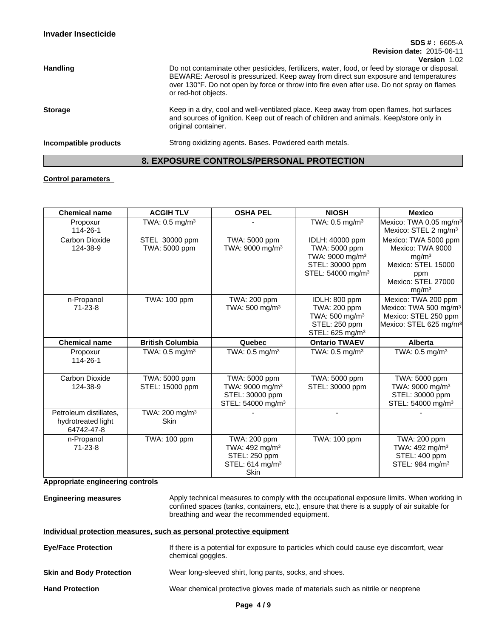|                       | $SDS # : 6605-A$<br><b>Revision date: 2015-06-11</b>                                                                                                                                                                                                                                                                       |
|-----------------------|----------------------------------------------------------------------------------------------------------------------------------------------------------------------------------------------------------------------------------------------------------------------------------------------------------------------------|
| <b>Handling</b>       | Version 1.02<br>Do not contaminate other pesticides, fertilizers, water, food, or feed by storage or disposal.<br>BEWARE: Aerosol is pressurized. Keep away from direct sun exposure and temperatures<br>over 130°F. Do not open by force or throw into fire even after use. Do not spray on flames<br>or red-hot objects. |
| <b>Storage</b>        | Keep in a dry, cool and well-ventilated place. Keep away from open flames, hot surfaces<br>and sources of ignition. Keep out of reach of children and animals. Keep/store only in<br>original container.                                                                                                                   |
| Incompatible products | Strong oxidizing agents. Bases. Powdered earth metals.                                                                                                                                                                                                                                                                     |

# **8. EXPOSURE CONTROLS/PERSONAL PROTECTION**

# **Control parameters**

| <b>Chemical name</b>                                                  | <b>ACGIH TLV</b>                          | <b>OSHA PEL</b>                                                                                           | <b>NIOSH</b>                                                                                                        | <b>Mexico</b>                                                                                                                         |
|-----------------------------------------------------------------------|-------------------------------------------|-----------------------------------------------------------------------------------------------------------|---------------------------------------------------------------------------------------------------------------------|---------------------------------------------------------------------------------------------------------------------------------------|
| Propoxur<br>114-26-1                                                  | TWA: $0.5$ mg/m <sup>3</sup>              |                                                                                                           | TWA: 0.5 mg/m <sup>3</sup>                                                                                          | Mexico: TWA 0.05 mg/m <sup>3</sup><br>Mexico: STEL 2 mg/m <sup>3</sup>                                                                |
| Carbon Dioxide<br>124-38-9                                            | STEL 30000 ppm<br>TWA: 5000 ppm           | TWA: 5000 ppm<br>TWA: 9000 mg/m <sup>3</sup>                                                              | IDLH: 40000 ppm<br>TWA: 5000 ppm<br>TWA: 9000 mg/m <sup>3</sup><br>STEL: 30000 ppm<br>STEL: 54000 mg/m <sup>3</sup> | Mexico: TWA 5000 ppm<br>Mexico: TWA 9000<br>mq/m <sup>3</sup><br>Mexico: STEL 15000<br>ppm<br>Mexico: STEL 27000<br>mg/m <sup>3</sup> |
| n-Propanol<br>$71 - 23 - 8$                                           | TWA: 100 ppm                              | TWA: 200 ppm<br>TWA: $500 \text{ mg/m}^3$                                                                 | IDLH: 800 ppm<br>TWA: 200 ppm<br>TWA: $500 \text{ mg/m}^3$<br>STEL: 250 ppm<br>STEL: 625 mg/m <sup>3</sup>          | Mexico: TWA 200 ppm<br>Mexico: TWA 500 mg/m <sup>3</sup><br>Mexico: STEL 250 ppm<br>Mexico: STEL 625 mg/m <sup>3</sup>                |
| <b>Chemical name</b>                                                  | <b>British Columbia</b>                   | Quebec                                                                                                    | <b>Ontario TWAEV</b>                                                                                                | <b>Alberta</b>                                                                                                                        |
| Propoxur<br>114-26-1                                                  | TWA: $0.5$ mg/m <sup>3</sup>              | TWA: $0.5$ mg/m <sup>3</sup>                                                                              | TWA: $0.5 \text{ mg/m}^3$                                                                                           | TWA: $0.5$ mg/m <sup>3</sup>                                                                                                          |
| Carbon Dioxide<br>124-38-9                                            | TWA: 5000 ppm<br>STEL: 15000 ppm          | TWA: 5000 ppm<br>TWA: 9000 mg/m <sup>3</sup><br>STEL: 30000 ppm<br>STEL: 54000 mg/m <sup>3</sup>          | TWA: 5000 ppm<br>STEL: 30000 ppm                                                                                    | TWA: 5000 ppm<br>TWA: 9000 mg/m <sup>3</sup><br>STEL: 30000 ppm<br>STEL: 54000 mg/m <sup>3</sup>                                      |
| Petroleum distillates,<br>hydrotreated light<br>64742-47-8            | TWA: 200 mg/m <sup>3</sup><br><b>Skin</b> |                                                                                                           |                                                                                                                     |                                                                                                                                       |
| n-Propanol<br>$71 - 23 - 8$<br>المواطنة والمتعارف والمتاريخ والمتاريخ | TWA: 100 ppm<br>المراجع والمراجع          | TWA: 200 ppm<br>TWA: 492 mg/m <sup>3</sup><br>STEL: 250 ppm<br>STEL: 614 mg/m <sup>3</sup><br><b>Skin</b> | <b>TWA: 100 ppm</b>                                                                                                 | TWA: 200 ppm<br>TWA: 492 mg/m <sup>3</sup><br>STEL: 400 ppm<br>STEL: 984 mg/m <sup>3</sup>                                            |

**Appropriate engineering controls**

**Engineering measures** Apply technical measures to comply with the occupational exposure limits. When working in confined spaces (tanks, containers, etc.), ensure that there is a supply of air suitable for breathing and wear the recommended equipment.

## **Individual protection measures, such as personal protective equipment**

| <b>Eye/Face Protection</b>      | If there is a potential for exposure to particles which could cause eye discomfort, wear<br>chemical goggles. |
|---------------------------------|---------------------------------------------------------------------------------------------------------------|
| <b>Skin and Body Protection</b> | Wear long-sleeved shirt, long pants, socks, and shoes.                                                        |
| <b>Hand Protection</b>          | Wear chemical protective gloves made of materials such as nitrile or neoprene                                 |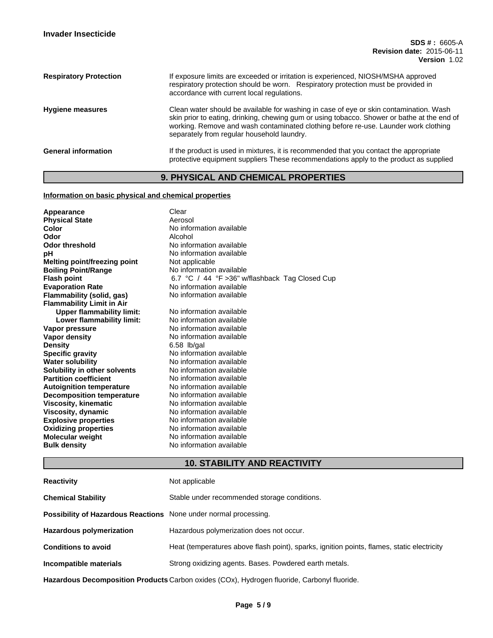| <b>Respiratory Protection</b> | If exposure limits are exceeded or irritation is experienced, NIOSH/MSHA approved<br>respiratory protection should be worn. Respiratory protection must be provided in<br>accordance with current local regulations.                                                                                                       |
|-------------------------------|----------------------------------------------------------------------------------------------------------------------------------------------------------------------------------------------------------------------------------------------------------------------------------------------------------------------------|
| <b>Hygiene measures</b>       | Clean water should be available for washing in case of eye or skin contamination. Wash<br>skin prior to eating, drinking, chewing gum or using tobacco. Shower or bathe at the end of<br>working. Remove and wash contaminated clothing before re-use. Launder work clothing<br>separately from regular household laundry. |
| <b>General information</b>    | If the product is used in mixtures, it is recommended that you contact the appropriate<br>protective equipment suppliers These recommendations apply to the product as supplied                                                                                                                                            |

# **9. PHYSICAL AND CHEMICAL PROPERTIES**

# **Information on basic physical and chemical properties**

| Appearance                              | Clear                                          |
|-----------------------------------------|------------------------------------------------|
| <b>Physical State</b>                   | Aerosol                                        |
| Color                                   | No information available                       |
| Odor                                    | Alcohol                                        |
| <b>Odor threshold</b>                   | No information available                       |
| рH                                      | No information available                       |
| Melting point/freezing point            | Not applicable                                 |
| <b>Boiling Point/Range</b>              | No information available                       |
| <b>Flash point</b>                      | 6.7 °C / 44 °F >36" w/flashback Tag Closed Cup |
| <b>Evaporation Rate</b>                 | No information available                       |
| Flammability (solid, gas)               | No information available                       |
| <b>Flammability Limit in Air</b>        | No information available                       |
| <b>Upper flammability limit:</b>        | No information available                       |
| Lower flammability limit:               | No information available                       |
| Vapor pressure                          | No information available                       |
| <b>Vapor density</b>                    | $6.58$ lb/gal                                  |
| <b>Density</b>                          | No information available                       |
| <b>Specific gravity</b>                 | No information available                       |
| <b>Water solubility</b>                 | No information available                       |
| Solubility in other solvents            | No information available                       |
| <b>Partition coefficient</b>            | No information available                       |
| <b>Autoignition temperature</b>         | No information available                       |
| <b>Decomposition temperature</b>        | No information available                       |
| <b>Viscosity, kinematic</b>             | No information available                       |
| Viscosity, dynamic                      | No information available                       |
| <b>Explosive properties</b>             | No information available                       |
| <b>Oxidizing properties</b>             | No information available                       |
| Molecular weight<br><b>Bulk density</b> | No information available                       |

# **10. STABILITY AND REACTIVITY**

| <b>Reactivity</b>                                                       | Not applicable                                                                              |
|-------------------------------------------------------------------------|---------------------------------------------------------------------------------------------|
| <b>Chemical Stability</b>                                               | Stable under recommended storage conditions.                                                |
| <b>Possibility of Hazardous Reactions</b> None under normal processing. |                                                                                             |
| <b>Hazardous polymerization</b>                                         | Hazardous polymerization does not occur.                                                    |
| <b>Conditions to avoid</b>                                              | Heat (temperatures above flash point), sparks, ignition points, flames, static electricity  |
| Incompatible materials                                                  | Strong oxidizing agents. Bases. Powdered earth metals.                                      |
|                                                                         | Hazardous Decomposition Products Carbon oxides (COx), Hydrogen fluoride, Carbonyl fluoride. |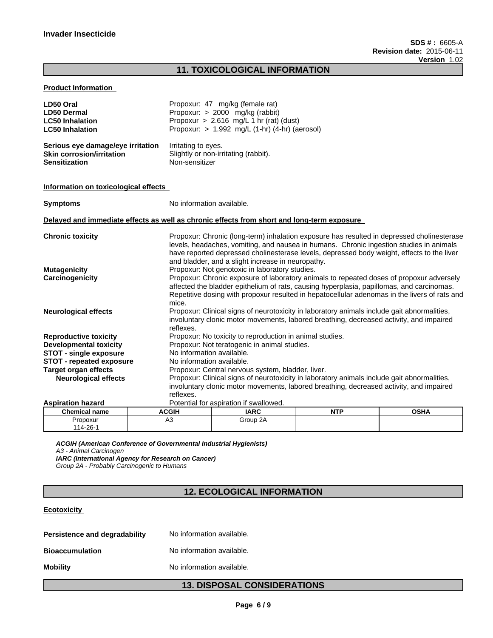# **11. TOXICOLOGICAL INFORMATION**

## **Product Information**

| LD50 Oral<br><b>LD50 Dermal</b><br><b>LC50 Inhalation</b><br><b>LC50 Inhalation</b>    | Propoxur: 47 mg/kg (female rat)<br>Propoxur: > 2000 mg/kg (rabbit)<br>Propoxur > $2.616$ mg/L 1 hr (rat) (dust)<br>Propoxur: $> 1.992$ mg/L (1-hr) (4-hr) (aerosol)                                                                                                                                                                               |  |  |  |
|----------------------------------------------------------------------------------------|---------------------------------------------------------------------------------------------------------------------------------------------------------------------------------------------------------------------------------------------------------------------------------------------------------------------------------------------------|--|--|--|
| Serious eye damage/eye irritation<br>Skin corrosion/irritation<br><b>Sensitization</b> | Irritating to eyes.<br>Slightly or non-irritating (rabbit).<br>Non-sensitizer                                                                                                                                                                                                                                                                     |  |  |  |
| Information on toxicological effects                                                   |                                                                                                                                                                                                                                                                                                                                                   |  |  |  |
| <b>Symptoms</b>                                                                        | No information available.                                                                                                                                                                                                                                                                                                                         |  |  |  |
|                                                                                        | Delayed and immediate effects as well as chronic effects from short and long-term exposure                                                                                                                                                                                                                                                        |  |  |  |
| <b>Chronic toxicity</b>                                                                | Propoxur: Chronic (long-term) inhalation exposure has resulted in depressed cholinesterase<br>levels, headaches, vomiting, and nausea in humans. Chronic ingestion studies in animals<br>have reported depressed cholinesterase levels, depressed body weight, effects to the liver<br>and bladder, and a slight increase in neuropathy.          |  |  |  |
| <b>Mutagenicity</b><br>Carcinogenicity                                                 | Propoxur: Not genotoxic in laboratory studies.<br>Propoxur: Chronic exposure of laboratory animals to repeated doses of propoxur adversely<br>affected the bladder epithelium of rats, causing hyperplasia, papillomas, and carcinomas.<br>Repetitive dosing with propoxur resulted in hepatocellular adenomas in the livers of rats and<br>mice. |  |  |  |
| <b>Neurological effects</b>                                                            | Propoxur: Clinical signs of neurotoxicity in laboratory animals include gait abnormalities,<br>involuntary clonic motor movements, labored breathing, decreased activity, and impaired<br>reflexes.                                                                                                                                               |  |  |  |
| <b>Reproductive toxicity</b>                                                           | Propoxur: No toxicity to reproduction in animal studies.                                                                                                                                                                                                                                                                                          |  |  |  |
| <b>Developmental toxicity</b>                                                          | Propoxur: Not teratogenic in animal studies.                                                                                                                                                                                                                                                                                                      |  |  |  |
| <b>STOT - single exposure</b>                                                          | No information available.                                                                                                                                                                                                                                                                                                                         |  |  |  |
| <b>STOT - repeated exposure</b>                                                        | No information available.                                                                                                                                                                                                                                                                                                                         |  |  |  |
| <b>Target organ effects</b>                                                            | Propoxur: Central nervous system, bladder, liver.                                                                                                                                                                                                                                                                                                 |  |  |  |
| <b>Neurological effects</b>                                                            | Propoxur: Clinical signs of neurotoxicity in laboratory animals include gait abnormalities,<br>involuntary clonic motor movements, labored breathing, decreased activity, and impaired<br>reflexes.                                                                                                                                               |  |  |  |
| <b>Aspiration hazard</b>                                                               | Potential for aspiration if swallowed.                                                                                                                                                                                                                                                                                                            |  |  |  |

| ASVII AUVIL HALAI U  | <u>Ultration</u> aspiration in swallowed. |             |            |             |  |
|----------------------|-------------------------------------------|-------------|------------|-------------|--|
| <b>Chemical name</b> | <b>ACGIH</b>                              | <b>IARC</b> | <b>NTP</b> | <b>OSHA</b> |  |
| Propoxur<br>114-26-1 | ∼                                         | Group 2A    |            |             |  |

*ACGIH (American Conference of Governmental Industrial Hygienists) A3 - Animal Carcinogen IARC (International Agency for Research on Cancer) Group 2A - Probably Carcinogenic to Humans*

# **12. ECOLOGICAL INFORMATION**

# **Ecotoxicity**

| Persistence and degradability | No information available. |
|-------------------------------|---------------------------|
| Bioaccumulation               | No information available. |
| Mobility                      | No information available. |

# **13. DISPOSAL CONSIDERATIONS**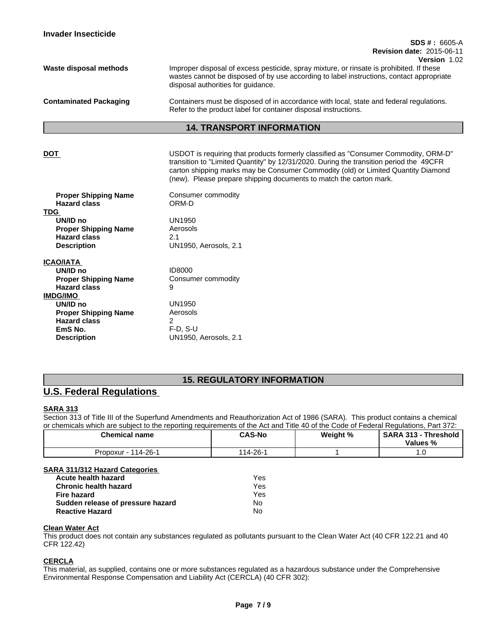| <b>Invader Insecticide</b>                                                                            |                                                                                                                                                                                                                                                                                                                                          |
|-------------------------------------------------------------------------------------------------------|------------------------------------------------------------------------------------------------------------------------------------------------------------------------------------------------------------------------------------------------------------------------------------------------------------------------------------------|
|                                                                                                       | $SDS # : 6605-A$<br><b>Revision date: 2015-06-11</b><br>Version 1.02                                                                                                                                                                                                                                                                     |
| Waste disposal methods                                                                                | Improper disposal of excess pesticide, spray mixture, or rinsate is prohibited. If these<br>wastes cannot be disposed of by use according to label instructions, contact appropriate<br>disposal authorities for guidance.                                                                                                               |
| <b>Contaminated Packaging</b>                                                                         | Containers must be disposed of in accordance with local, state and federal regulations.<br>Refer to the product label for container disposal instructions.                                                                                                                                                                               |
|                                                                                                       | <b>14. TRANSPORT INFORMATION</b>                                                                                                                                                                                                                                                                                                         |
| <b>DOT</b>                                                                                            | USDOT is requiring that products formerly classified as "Consumer Commodity, ORM-D"<br>transition to "Limited Quantity" by 12/31/2020. During the transition period the 49CFR<br>carton shipping marks may be Consumer Commodity (old) or Limited Quantity Diamond<br>(new). Please prepare shipping documents to match the carton mark. |
| <b>Proper Shipping Name</b><br><b>Hazard class</b><br><b>TDG</b>                                      | Consumer commodity<br>ORM-D                                                                                                                                                                                                                                                                                                              |
| UN/ID no<br><b>Proper Shipping Name</b><br><b>Hazard class</b><br><b>Description</b>                  | <b>UN1950</b><br>Aerosols<br>2.1<br>UN1950, Aerosols, 2.1                                                                                                                                                                                                                                                                                |
| <b>ICAO/IATA</b><br>UN/ID no<br><b>Proper Shipping Name</b><br><b>Hazard class</b><br><b>IMDG/IMO</b> | <b>ID8000</b><br>Consumer commodity<br>9                                                                                                                                                                                                                                                                                                 |
| UN/ID no<br><b>Proper Shipping Name</b><br><b>Hazard class</b><br>EmS No.<br><b>Description</b>       | <b>UN1950</b><br>Aerosols<br>2<br>$F-D. S-U$<br>UN1950, Aerosols, 2.1                                                                                                                                                                                                                                                                    |
|                                                                                                       |                                                                                                                                                                                                                                                                                                                                          |

# **15. REGULATORY INFORMATION**

# **U.S. Federal Regulations**

## **SARA 313**

Section 313 of Title III of the Superfund Amendments and Reauthorization Act of 1986 (SARA). This product contains a chemical or chemicals which are subject to the reporting requirements of the Act and Title 40 of the Code of Federal Regulations, Part 372:

| Chemical name             | <b>CAS-No</b> | Weight % | <b>SARA</b><br>313<br>Threshold<br>Values % |
|---------------------------|---------------|----------|---------------------------------------------|
| $14 - 26 - 1$<br>Propoxur | 14-26-        |          | . ت                                         |

## **SARA 311/312 Hazard Categories**

| Acute health hazard               | Yes |
|-----------------------------------|-----|
| <b>Chronic health hazard</b>      | Yes |
| Fire hazard                       | Yes |
| Sudden release of pressure hazard | No  |
| <b>Reactive Hazard</b>            | No  |

## **Clean Water Act**

This product does not contain any substances regulated as pollutants pursuant to the Clean Water Act (40 CFR 122.21 and 40 CFR 122.42)

## **CERCLA**

This material, as supplied, contains one or more substances regulated as a hazardous substance under the Comprehensive Environmental Response Compensation and Liability Act (CERCLA) (40 CFR 302):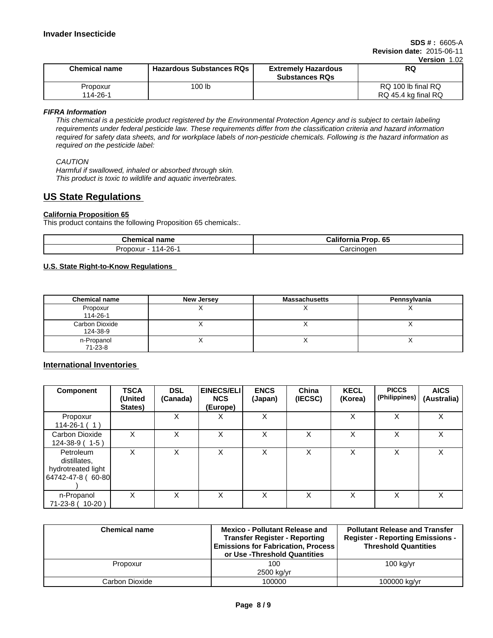| <b>Chemical name</b> | <b>Hazardous Substances RQs</b> | <b>Extremely Hazardous</b><br><b>Substances RQs</b> | 1 JULI 1.VL<br><b>RQ</b>                  |
|----------------------|---------------------------------|-----------------------------------------------------|-------------------------------------------|
| Propoxur<br>114-26-1 | 100 lb                          |                                                     | RQ 100 lb final RQ<br>RQ 45.4 kg final RQ |

*FIFRA Information*

*This chemical is a pesticide product registered by the Environmental Protection Agency and is subject to certain labeling requirements under federal pesticide law. These requirements differ from the classification criteria and hazard information required for safety data sheets, and for workplace labels of non-pesticide chemicals. Following is the hazard information as required on the pesticide label:*

## *CAUTION*

*Harmful if swallowed, inhaled or absorbed through skin. This product is toxic to wildlife and aquatic invertebrates.*

# **US State Regulations**

## **California Proposition 65**

This product contains the following Proposition 65 chemicals:.

| <b>Chemical</b><br>name | . 65<br>.<br>Prop<br>∵ alifor<br>nornia |
|-------------------------|-----------------------------------------|
| $14 - 26 - 1$           | Jarcinoden                              |
| oxur -                  | ۱۵۱۰ ب                                  |

## **U.S. State Right-to-Know Regulations**

| <b>Chemical name</b>              | New Jersey | <b>Massachusetts</b> | Pennsylvania |
|-----------------------------------|------------|----------------------|--------------|
| Propoxur<br>114-26-1              |            |                      |              |
| <b>Carbon Dioxide</b><br>124-38-9 |            |                      |              |
| n-Propanol<br>$71-23-8$           |            | . .                  | $\lambda$    |

# **International Inventories**

| <b>Component</b>                                                     | <b>TSCA</b><br>(United<br>States) | <b>DSL</b><br>(Canada) | <b>EINECS/ELI</b><br><b>NCS</b><br>(Europe) | <b>ENCS</b><br>(Japan) | China<br>(IECSC) | <b>KECL</b><br>(Korea) | <b>PICCS</b><br>(Philippines) | <b>AICS</b><br>(Australia) |
|----------------------------------------------------------------------|-----------------------------------|------------------------|---------------------------------------------|------------------------|------------------|------------------------|-------------------------------|----------------------------|
| Propoxur<br>$114 - 26 - 1(1)$                                        |                                   | X                      | Χ                                           | X                      |                  | X                      | X                             | X                          |
| Carbon Dioxide<br>$124 - 38 - 9$ (1-5)                               | X                                 | X                      | Χ                                           | X                      | X                | X                      | x                             | X                          |
| Petroleum<br>distillates,<br>hydrotreated light<br>64742-47-8 (60-80 |                                   | X                      | Χ                                           | х                      | X                | Χ                      |                               | X                          |
| n-Propanol<br>71-23-8 (10-20)                                        | X                                 | X                      | X                                           | X                      | X                | X                      | X                             | X                          |

| <b>Chemical name</b> | <b>Mexico - Pollutant Release and</b><br><b>Transfer Register - Reporting</b><br><b>Emissions for Fabrication, Process</b><br>or Use -Threshold Quantities | <b>Pollutant Release and Transfer</b><br><b>Register - Reporting Emissions -</b><br><b>Threshold Quantities</b> |
|----------------------|------------------------------------------------------------------------------------------------------------------------------------------------------------|-----------------------------------------------------------------------------------------------------------------|
| Propoxur             | 100<br>2500 kg/yr                                                                                                                                          | $100$ kg/yr                                                                                                     |
| Carbon Dioxide       | 100000                                                                                                                                                     | 100000 kg/yr                                                                                                    |